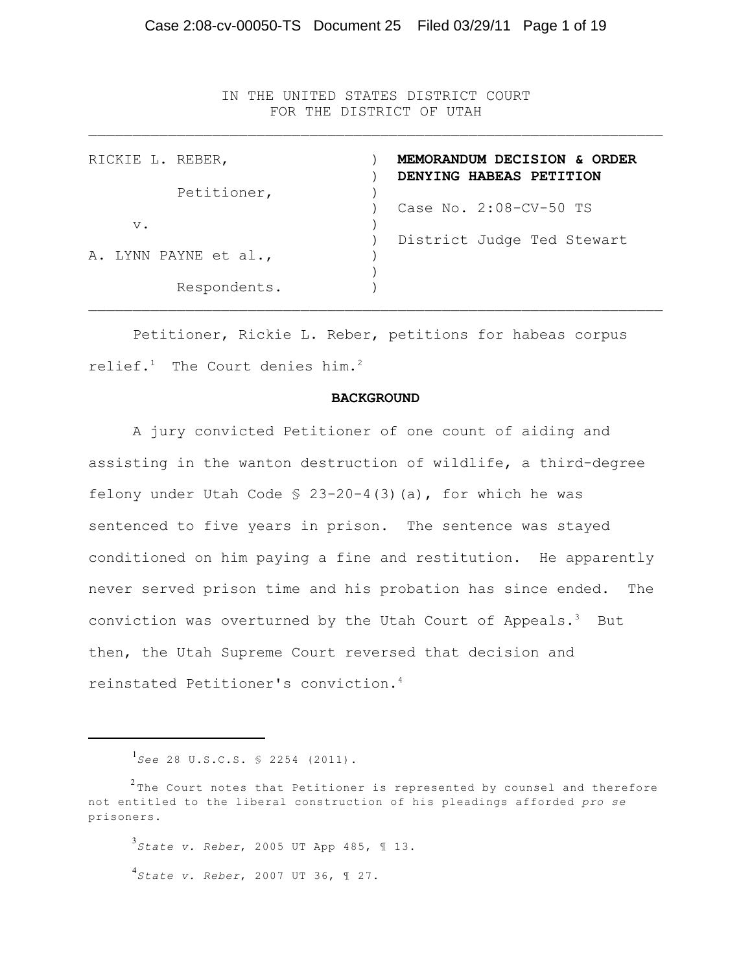IN THE UNITED STATES DISTRICT COURT FOR THE DISTRICT OF UTAH  $\mathcal{L}_\text{max} = \mathcal{L}_\text{max} = \mathcal{L}_\text{max} = \mathcal{L}_\text{max} = \mathcal{L}_\text{max} = \mathcal{L}_\text{max} = \mathcal{L}_\text{max} = \mathcal{L}_\text{max} = \mathcal{L}_\text{max} = \mathcal{L}_\text{max} = \mathcal{L}_\text{max} = \mathcal{L}_\text{max} = \mathcal{L}_\text{max} = \mathcal{L}_\text{max} = \mathcal{L}_\text{max} = \mathcal{L}_\text{max} = \mathcal{L}_\text{max} = \mathcal{L}_\text{max} = \mathcal{$ 

| RICKIE L. REBER,      | MEMORANDUM DECISION & ORDER<br>DENYING HABEAS PETITION |
|-----------------------|--------------------------------------------------------|
| Petitioner,           | Case No. 2:08-CV-50 TS                                 |
| $V$ .                 | District Judge Ted Stewart                             |
| A. LYNN PAYNE et al., |                                                        |
| Respondents.          |                                                        |

Petitioner, Rickie L. Reber, petitions for habeas corpus relief. $1$  The Court denies him.<sup>2</sup>

#### **BACKGROUND**

A jury convicted Petitioner of one count of aiding and assisting in the wanton destruction of wildlife, a third-degree felony under Utah Code  $\frac{6}{5}$  23-20-4(3)(a), for which he was sentenced to five years in prison. The sentence was stayed conditioned on him paying a fine and restitution. He apparently never served prison time and his probation has since ended. The conviction was overturned by the Utah Court of Appeals.<sup>3</sup> But then, the Utah Supreme Court reversed that decision and reinstated Petitioner's conviction.<sup>4</sup>

*State v. Reber*, 2005 UT App 485, ¶ 13. 3 *State v. Reber*, 2007 UT 36, ¶ 27. 4

<sup>&</sup>lt;sup>1</sup>See 28 U.S.C.S. § 2254 (2011).

 $^2$ The Court notes that Petitioner is represented by counsel and therefore not entitled to the liberal construction of his pleadings afforded *pro se* prisoners.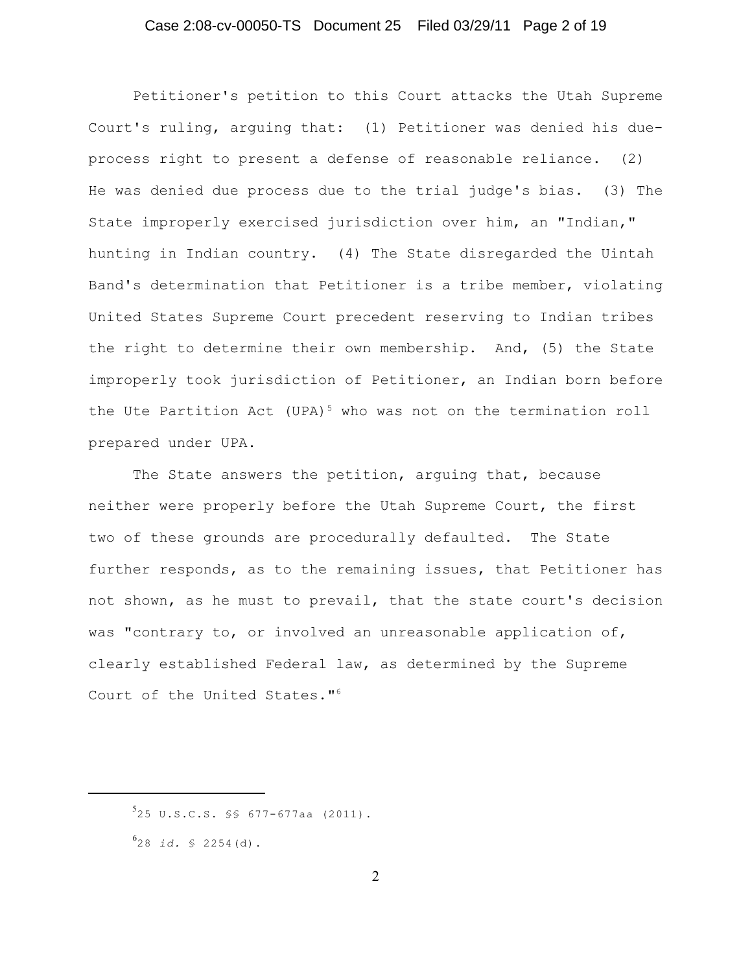### Case 2:08-cv-00050-TS Document 25 Filed 03/29/11 Page 2 of 19

Petitioner's petition to this Court attacks the Utah Supreme Court's ruling, arguing that: (1) Petitioner was denied his dueprocess right to present a defense of reasonable reliance. (2) He was denied due process due to the trial judge's bias. (3) The State improperly exercised jurisdiction over him, an "Indian," hunting in Indian country. (4) The State disregarded the Uintah Band's determination that Petitioner is a tribe member, violating United States Supreme Court precedent reserving to Indian tribes the right to determine their own membership. And, (5) the State improperly took jurisdiction of Petitioner, an Indian born before the Ute Partition Act (UPA)<sup>5</sup> who was not on the termination roll prepared under UPA.

The State answers the petition, arguing that, because neither were properly before the Utah Supreme Court, the first two of these grounds are procedurally defaulted. The State further responds, as to the remaining issues, that Petitioner has not shown, as he must to prevail, that the state court's decision was "contrary to, or involved an unreasonable application of, clearly established Federal law, as determined by the Supreme Court of the United States."<sup>6</sup>

<sup>&</sup>lt;sup>5</sup>25 U.S.C.S. §§ 677-677aa (2011).

<sup>28</sup> *id.* § 2254(d). 6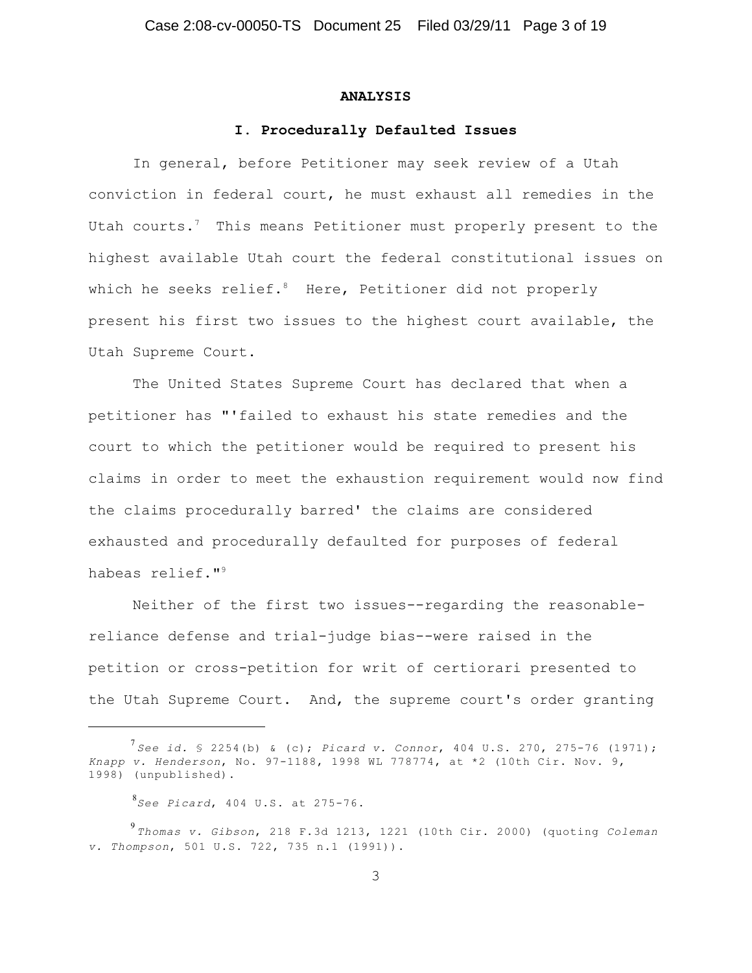#### **ANALYSIS**

#### **I. Procedurally Defaulted Issues**

In general, before Petitioner may seek review of a Utah conviction in federal court, he must exhaust all remedies in the Utah courts.<sup>7</sup> This means Petitioner must properly present to the highest available Utah court the federal constitutional issues on which he seeks relief.<sup>8</sup> Here, Petitioner did not properly present his first two issues to the highest court available, the Utah Supreme Court.

The United States Supreme Court has declared that when a petitioner has "'failed to exhaust his state remedies and the court to which the petitioner would be required to present his claims in order to meet the exhaustion requirement would now find the claims procedurally barred' the claims are considered exhausted and procedurally defaulted for purposes of federal habeas relief."<sup>9</sup>

Neither of the first two issues--regarding the reasonablereliance defense and trial-judge bias--were raised in the petition or cross-petition for writ of certiorari presented to the Utah Supreme Court. And, the supreme court's order granting

*See id.* § 2254(b) & (c); *Picard v. Connor*, 404 U.S. 270, 275-76 (1971); 7 *Knapp v. Henderson*, No. 97-1188, 1998 WL 778774, at \*2 (10th Cir. Nov. 9, 1998) (unpublished).

*See Picard*, 404 U.S. at 275-76. 8

*Thomas v. Gibson*, 218 F.3d 1213, 1221 (10th Cir. 2000) (quoting *Coleman* 9 *v. Thompson*, 501 U.S. 722, 735 n.1 (1991)).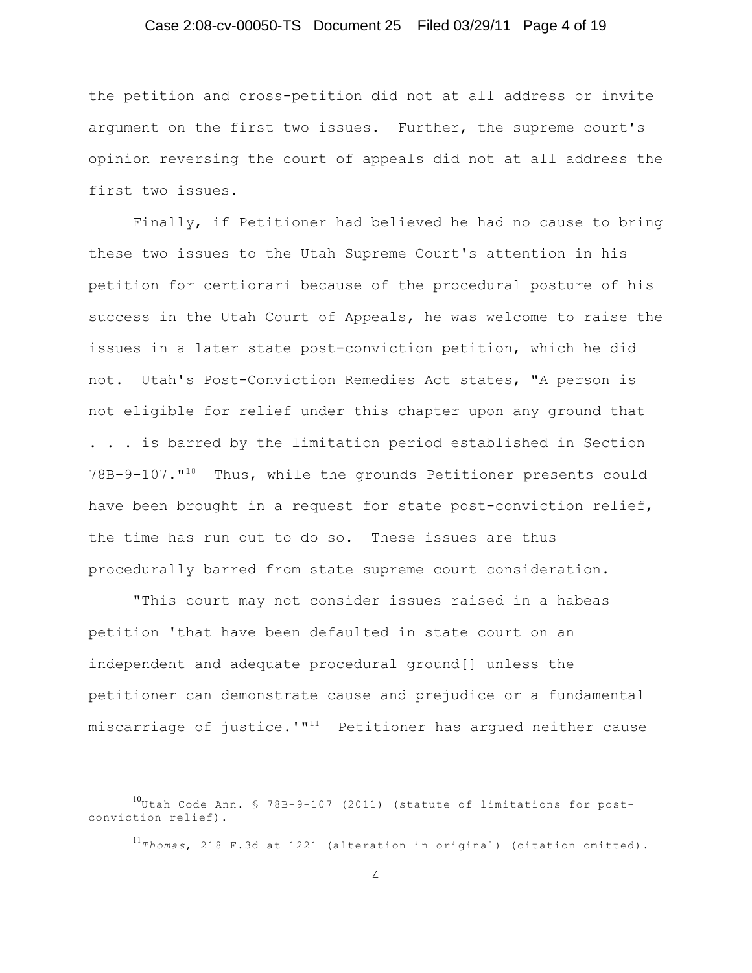### Case 2:08-cv-00050-TS Document 25 Filed 03/29/11 Page 4 of 19

the petition and cross-petition did not at all address or invite argument on the first two issues. Further, the supreme court's opinion reversing the court of appeals did not at all address the first two issues.

Finally, if Petitioner had believed he had no cause to bring these two issues to the Utah Supreme Court's attention in his petition for certiorari because of the procedural posture of his success in the Utah Court of Appeals, he was welcome to raise the issues in a later state post-conviction petition, which he did not. Utah's Post-Conviction Remedies Act states, "A person is not eligible for relief under this chapter upon any ground that . . . is barred by the limitation period established in Section 78B-9-107."<sup>10</sup> Thus, while the grounds Petitioner presents could have been brought in a request for state post-conviction relief, the time has run out to do so. These issues are thus procedurally barred from state supreme court consideration.

"This court may not consider issues raised in a habeas petition 'that have been defaulted in state court on an independent and adequate procedural ground[] unless the petitioner can demonstrate cause and prejudice or a fundamental miscarriage of justice.'" $11$  Petitioner has argued neither cause

<sup>&</sup>lt;sup>10</sup>Utah Code Ann. § 78B-9-107 (2011) (statute of limitations for postconviction relief).

*Thomas*, 218 F.3d at 1221 (alteration in original) (citation omitted). 11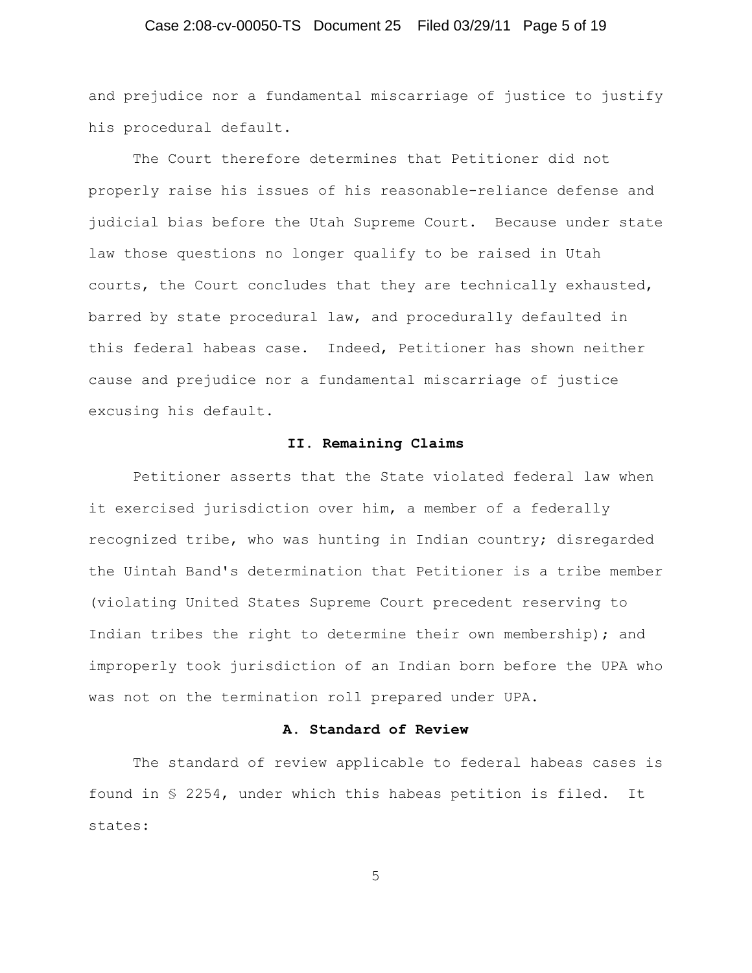### Case 2:08-cv-00050-TS Document 25 Filed 03/29/11 Page 5 of 19

and prejudice nor a fundamental miscarriage of justice to justify his procedural default.

The Court therefore determines that Petitioner did not properly raise his issues of his reasonable-reliance defense and judicial bias before the Utah Supreme Court. Because under state law those questions no longer qualify to be raised in Utah courts, the Court concludes that they are technically exhausted, barred by state procedural law, and procedurally defaulted in this federal habeas case. Indeed, Petitioner has shown neither cause and prejudice nor a fundamental miscarriage of justice excusing his default.

#### **II. Remaining Claims**

Petitioner asserts that the State violated federal law when it exercised jurisdiction over him, a member of a federally recognized tribe, who was hunting in Indian country; disregarded the Uintah Band's determination that Petitioner is a tribe member (violating United States Supreme Court precedent reserving to Indian tribes the right to determine their own membership); and improperly took jurisdiction of an Indian born before the UPA who was not on the termination roll prepared under UPA.

## **A. Standard of Review**

The standard of review applicable to federal habeas cases is found in § 2254, under which this habeas petition is filed. It states:

5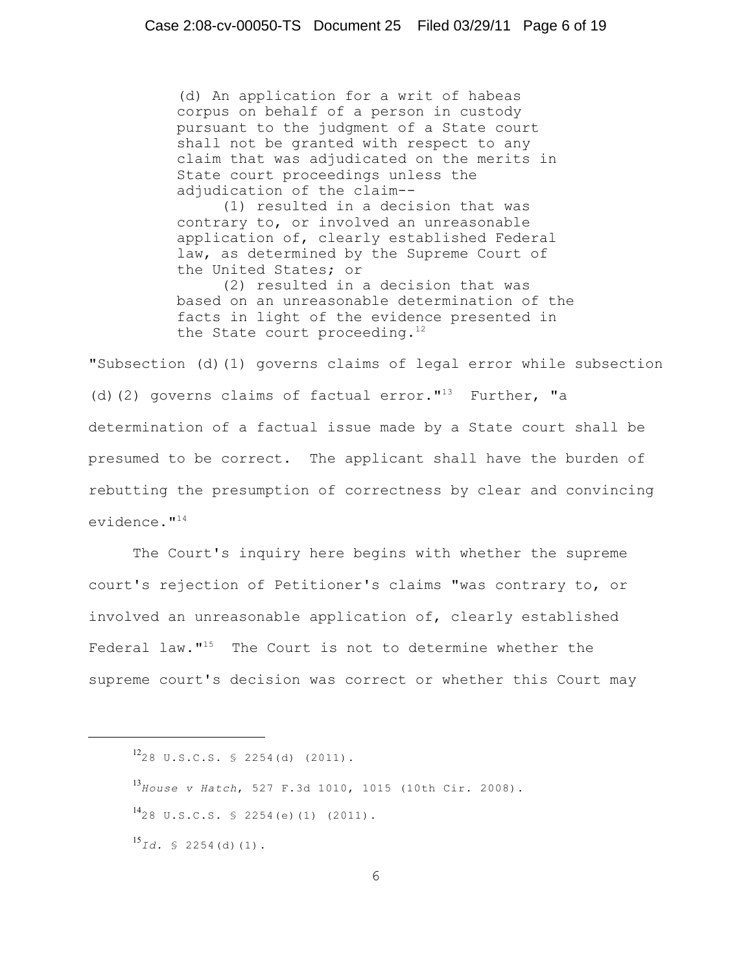(d) An application for a writ of habeas corpus on behalf of a person in custody pursuant to the judgment of a State court shall not be granted with respect to any claim that was adjudicated on the merits in State court proceedings unless the adjudication of the claim--

(1) resulted in a decision that was contrary to, or involved an unreasonable application of, clearly established Federal law, as determined by the Supreme Court of the United States; or

(2) resulted in a decision that was based on an unreasonable determination of the facts in light of the evidence presented in the State court proceeding. $12$ 

"Subsection (d)(1) governs claims of legal error while subsection (d)(2) governs claims of factual error." $^{13}$  Further, "a determination of a factual issue made by a State court shall be presumed to be correct. The applicant shall have the burden of rebutting the presumption of correctness by clear and convincing evidence."<sup>14</sup>

The Court's inquiry here begins with whether the supreme court's rejection of Petitioner's claims "was contrary to, or involved an unreasonable application of, clearly established Federal law. $115$  The Court is not to determine whether the supreme court's decision was correct or whether this Court may

*House v Hatch*, 527 F.3d 1010, 1015 (10th Cir. 2008). 13  $^{14}$ 28 U.S.C.S. § 2254(e)(1) (2011).  $^{15}Id.$  § 2254(d)(1).

 $^{12}$ 28 U.S.C.S. § 2254(d) (2011).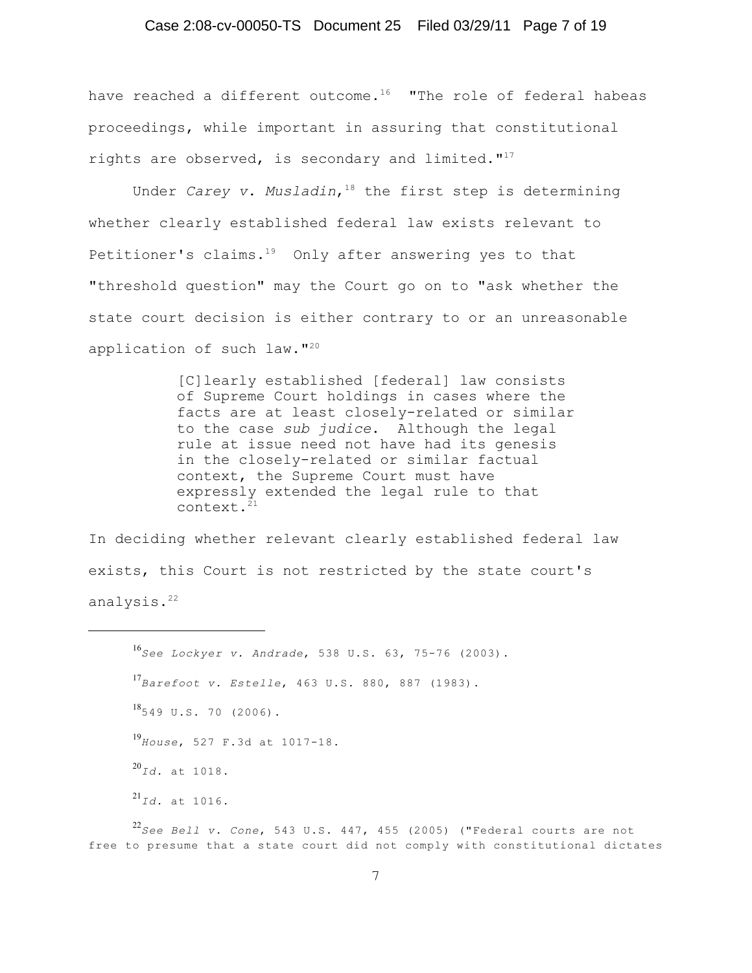### Case 2:08-cv-00050-TS Document 25 Filed 03/29/11 Page 7 of 19

have reached a different outcome.<sup>16</sup> "The role of federal habeas proceedings, while important in assuring that constitutional rights are observed, is secondary and limited. $"$ <sup>17</sup>

Under *Carey v. Musladin*, <sup>18</sup> the first step is determining whether clearly established federal law exists relevant to Petitioner's claims. $19$  Only after answering yes to that "threshold question" may the Court go on to "ask whether the state court decision is either contrary to or an unreasonable application of such law."<sup>20</sup>

> [C]learly established [federal] law consists of Supreme Court holdings in cases where the facts are at least closely-related or similar to the case *sub judice*. Although the legal rule at issue need not have had its genesis in the closely-related or similar factual context, the Supreme Court must have expressly extended the legal rule to that context.<sup>21</sup>

In deciding whether relevant clearly established federal law exists, this Court is not restricted by the state court's analysis.<sup>22</sup>

*See Lockyer v. Andrade*, 538 U.S. 63, 75-76 (2003). 16 *Barefoot v. Estelle*, 463 U.S. 880, 887 (1983). 17  $^{18}$ 549 U.S. 70 (2006). *House*, 527 F.3d at 1017-18. 19 *Id.* at 1018. 20 *Id.* at 1016. 21

*See Bell v. Cone*, 543 U.S. 447, 455 (2005) ("Federal courts are not 22 free to presume that a state court did not comply with constitutional dictates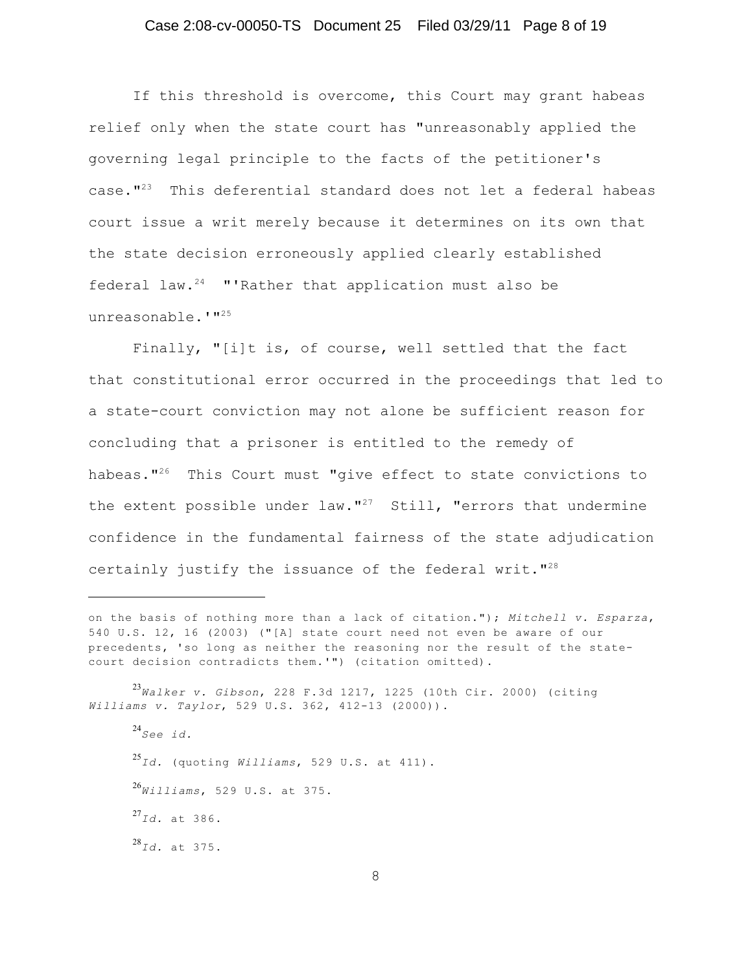### Case 2:08-cv-00050-TS Document 25 Filed 03/29/11 Page 8 of 19

If this threshold is overcome, this Court may grant habeas relief only when the state court has "unreasonably applied the governing legal principle to the facts of the petitioner's case. $"^{23}$  This deferential standard does not let a federal habeas court issue a writ merely because it determines on its own that the state decision erroneously applied clearly established federal law. $24$  "'Rather that application must also be unreasonable.'"<sup>25</sup>

Finally, "[i]t is, of course, well settled that the fact that constitutional error occurred in the proceedings that led to a state-court conviction may not alone be sufficient reason for concluding that a prisoner is entitled to the remedy of habeas."<sup>26</sup> This Court must "give effect to state convictions to the extent possible under law."<sup>27</sup> Still, "errors that undermine confidence in the fundamental fairness of the state adjudication certainly justify the issuance of the federal writ."<sup>28</sup>

*Walker v. Gibson*, 228 F.3d 1217, 1225 (10th Cir. 2000) (citing 23 *Williams v. Taylor*, 529 U.S. 362, 412-13 (2000)).

*See id.* 24 *Id.* (quoting *Williams*, 529 U.S. at 411). 25 *Williams*, 529 U.S. at 375. 26 *Id.* at 386. 27 *Id.* at 375. 28

on the basis of nothing more than a lack of citation."); *Mitchell v. Esparza*, 540 U.S. 12, 16 (2003) ("[A] state court need not even be aware of our precedents, 'so long as neither the reasoning nor the result of the statecourt decision contradicts them.'") (citation omitted).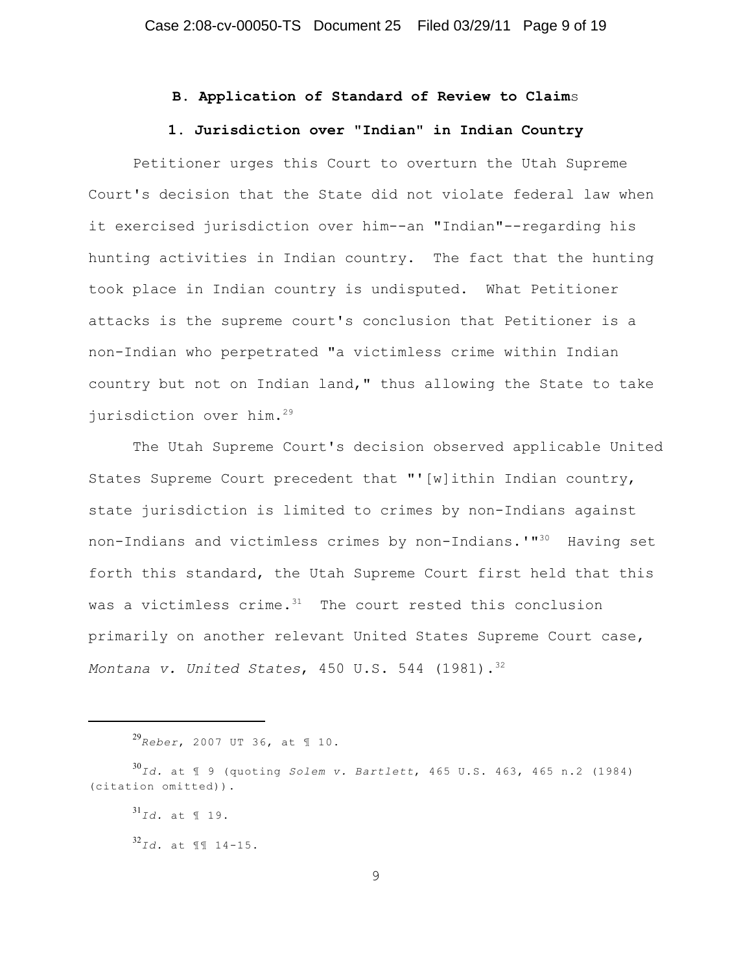## **B. Application of Standard of Review to Claim**s

### **1. Jurisdiction over "Indian" in Indian Country**

Petitioner urges this Court to overturn the Utah Supreme Court's decision that the State did not violate federal law when it exercised jurisdiction over him--an "Indian"--regarding his hunting activities in Indian country. The fact that the hunting took place in Indian country is undisputed. What Petitioner attacks is the supreme court's conclusion that Petitioner is a non-Indian who perpetrated "a victimless crime within Indian country but not on Indian land," thus allowing the State to take jurisdiction over him.<sup>29</sup>

The Utah Supreme Court's decision observed applicable United States Supreme Court precedent that "'[w]ithin Indian country, state jurisdiction is limited to crimes by non-Indians against non-Indians and victimless crimes by non-Indians.'"<sup>30</sup> Having set forth this standard, the Utah Supreme Court first held that this was a victimless crime. $31$  The court rested this conclusion primarily on another relevant United States Supreme Court case, *Montana v. United States*, 450 U.S. 544 (1981).<sup>32</sup>

*Reber*, 2007 UT 36, at ¶ 10. 29

*Id.* at ¶ 9 (quoting *Solem v. Bartlett*, 465 U.S. 463, 465 n.2 (1984) 30 (citation omitted)).

 $^{31}$ *Id.* at ¶ 19.

*Id.* at ¶¶ 14-15. 32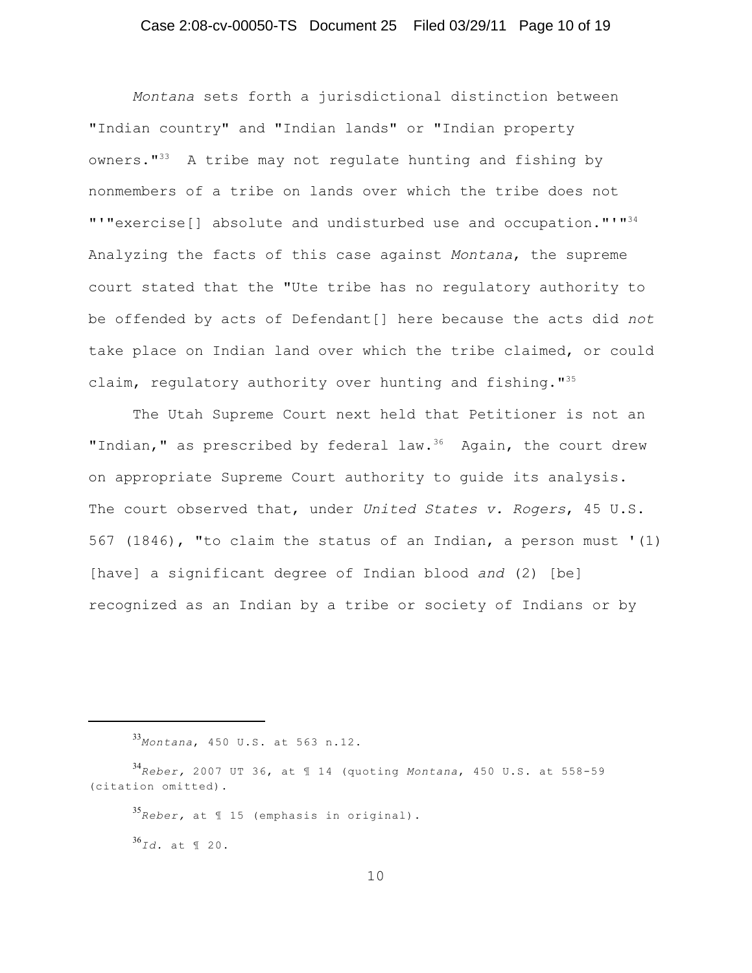# Case 2:08-cv-00050-TS Document 25 Filed 03/29/11 Page 10 of 19

*Montana* sets forth a jurisdictional distinction between "Indian country" and "Indian lands" or "Indian property owners. $1^{33}$  A tribe may not regulate hunting and fishing by nonmembers of a tribe on lands over which the tribe does not "'"exercise[] absolute and undisturbed use and occupation."'"<sup>34</sup> Analyzing the facts of this case against *Montana*, the supreme court stated that the "Ute tribe has no regulatory authority to be offended by acts of Defendant[] here because the acts did *not* take place on Indian land over which the tribe claimed, or could claim, regulatory authority over hunting and fishing."<sup>35</sup>

The Utah Supreme Court next held that Petitioner is not an "Indian," as prescribed by federal law. $36$  Again, the court drew on appropriate Supreme Court authority to guide its analysis. The court observed that, under *United States v. Rogers*, 45 U.S. 567 (1846), "to claim the status of an Indian, a person must '(1) [have] a significant degree of Indian blood *and* (2) [be] recognized as an Indian by a tribe or society of Indians or by

*Montana*, 450 U.S. at 563 n.12. 33

*Reber,* at ¶ 15 (emphasis in original). 35

*Id.* at ¶ 20. 36

*Reber,* 2007 UT 36, at ¶ 14 (quoting *Montana*, 450 U.S. at 558-59 34 (citation omitted).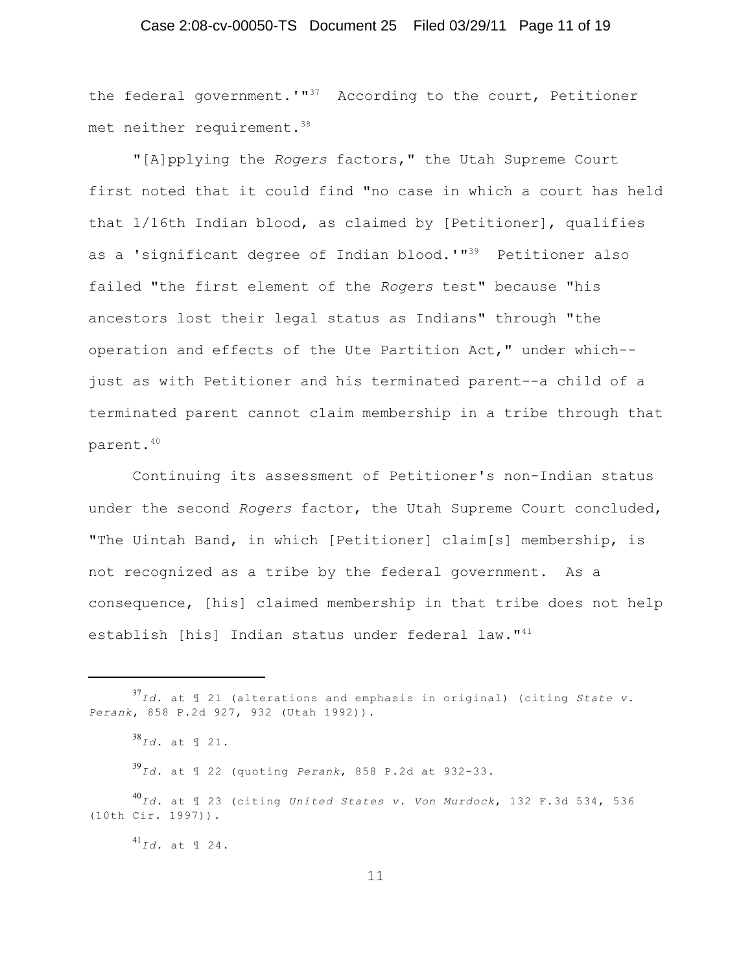# Case 2:08-cv-00050-TS Document 25 Filed 03/29/11 Page 11 of 19

the federal government.'" $37$  According to the court, Petitioner met neither requirement.<sup>38</sup>

"[A]pplying the *Rogers* factors," the Utah Supreme Court first noted that it could find "no case in which a court has held that 1/16th Indian blood, as claimed by [Petitioner], qualifies as a 'significant degree of Indian blood.'"<sup>39</sup> Petitioner also failed "the first element of the *Rogers* test" because "his ancestors lost their legal status as Indians" through "the operation and effects of the Ute Partition Act," under which- just as with Petitioner and his terminated parent--a child of a terminated parent cannot claim membership in a tribe through that parent.<sup>40</sup>

Continuing its assessment of Petitioner's non-Indian status under the second *Rogers* factor, the Utah Supreme Court concluded, "The Uintah Band, in which [Petitioner] claim[s] membership, is not recognized as a tribe by the federal government. As a consequence, [his] claimed membership in that tribe does not help establish [his] Indian status under federal law."<sup>41</sup>

*Id.* at ¶ 22 (quoting *Perank*, 858 P.2d at 932-33. 39

*Id.* at ¶ 23 (citing *United States v. Von Murdock*, 132 F.3d 534, 536 40 (10th Cir. 1997)).

*Id.* at ¶ 24. 41

*Id.* at ¶ 21 (alterations and emphasis in original) (citing *State v.* 37 *Perank*, 858 P.2d 927, 932 (Utah 1992)).

*Id.* at ¶ 21. 38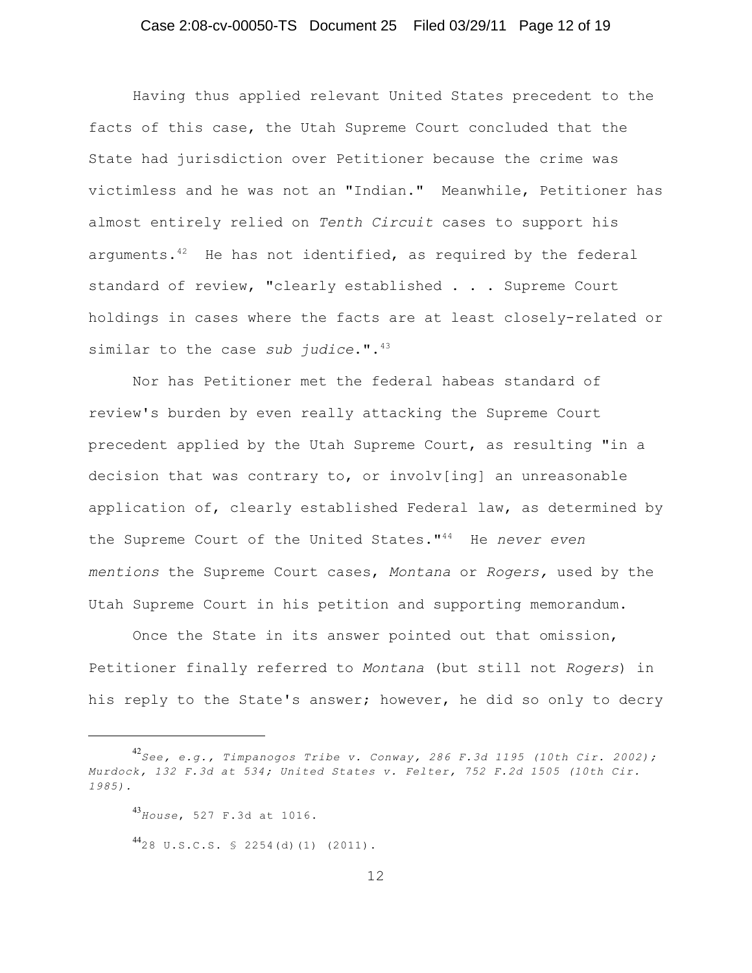Having thus applied relevant United States precedent to the facts of this case, the Utah Supreme Court concluded that the State had jurisdiction over Petitioner because the crime was victimless and he was not an "Indian." Meanwhile, Petitioner has almost entirely relied on *Tenth Circuit* cases to support his arguments. $42$  He has not identified, as required by the federal standard of review, "clearly established . . . Supreme Court holdings in cases where the facts are at least closely-related or similar to the case *sub judice*.".<sup>43</sup>

Nor has Petitioner met the federal habeas standard of review's burden by even really attacking the Supreme Court precedent applied by the Utah Supreme Court, as resulting "in a decision that was contrary to, or involv[ing] an unreasonable application of, clearly established Federal law, as determined by the Supreme Court of the United States."<sup>44</sup> He never even *mentions* the Supreme Court cases, *Montana* or *Rogers,* used by the Utah Supreme Court in his petition and supporting memorandum.

Once the State in its answer pointed out that omission, Petitioner finally referred to *Montana* (but still not *Rogers*) in his reply to the State's answer; however, he did so only to decry

*See, e.g., Timpanogos Tribe v. Conway, 286 F.3d 1195 (10th Cir. 2002);* 42 *Murdock, 132 F.3d at 534; United States v. Felter, 752 F.2d 1505 (10th Cir. 1985).*

*House*, 527 F.3d at 1016. 43

 $^{44}$ 28 U.S.C.S. § 2254(d)(1) (2011).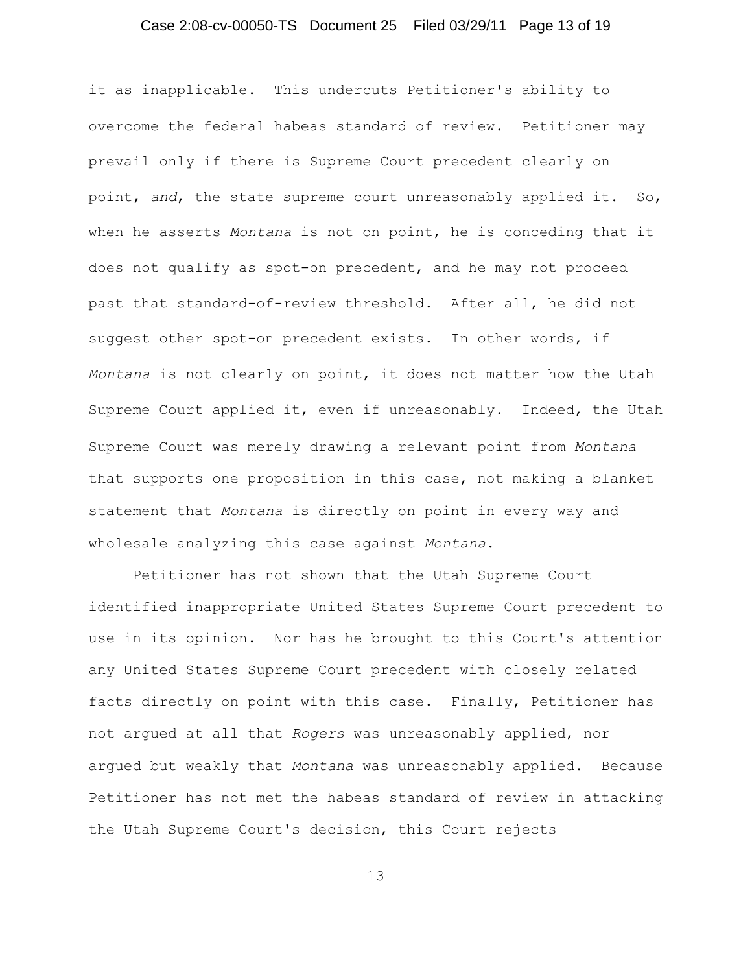# Case 2:08-cv-00050-TS Document 25 Filed 03/29/11 Page 13 of 19

it as inapplicable. This undercuts Petitioner's ability to overcome the federal habeas standard of review. Petitioner may prevail only if there is Supreme Court precedent clearly on point, *and*, the state supreme court unreasonably applied it. So, when he asserts *Montana* is not on point, he is conceding that it does not qualify as spot-on precedent, and he may not proceed past that standard-of-review threshold. After all, he did not suggest other spot-on precedent exists. In other words, if *Montana* is not clearly on point, it does not matter how the Utah Supreme Court applied it, even if unreasonably. Indeed, the Utah Supreme Court was merely drawing a relevant point from *Montana* that supports one proposition in this case, not making a blanket statement that *Montana* is directly on point in every way and wholesale analyzing this case against *Montana*.

Petitioner has not shown that the Utah Supreme Court identified inappropriate United States Supreme Court precedent to use in its opinion. Nor has he brought to this Court's attention any United States Supreme Court precedent with closely related facts directly on point with this case. Finally, Petitioner has not argued at all that *Rogers* was unreasonably applied, nor argued but weakly that *Montana* was unreasonably applied. Because Petitioner has not met the habeas standard of review in attacking the Utah Supreme Court's decision, this Court rejects

13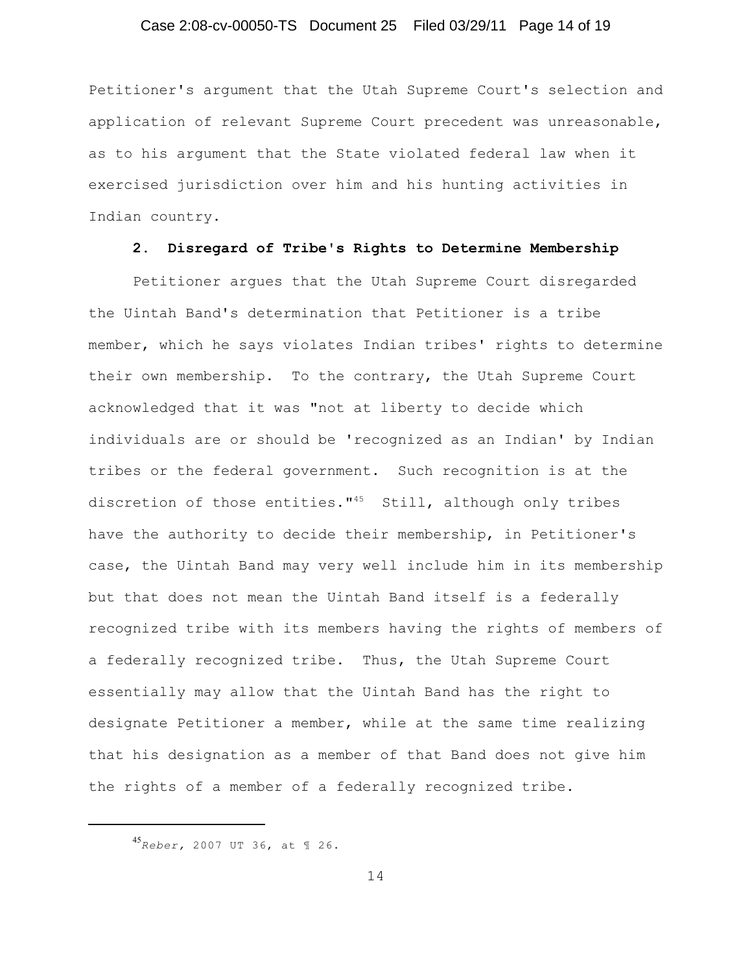### Case 2:08-cv-00050-TS Document 25 Filed 03/29/11 Page 14 of 19

Petitioner's argument that the Utah Supreme Court's selection and application of relevant Supreme Court precedent was unreasonable, as to his argument that the State violated federal law when it exercised jurisdiction over him and his hunting activities in Indian country.

#### **2. Disregard of Tribe's Rights to Determine Membership**

Petitioner argues that the Utah Supreme Court disregarded the Uintah Band's determination that Petitioner is a tribe member, which he says violates Indian tribes' rights to determine their own membership. To the contrary, the Utah Supreme Court acknowledged that it was "not at liberty to decide which individuals are or should be 'recognized as an Indian' by Indian tribes or the federal government. Such recognition is at the discretion of those entities." $45$  Still, although only tribes have the authority to decide their membership, in Petitioner's case, the Uintah Band may very well include him in its membership but that does not mean the Uintah Band itself is a federally recognized tribe with its members having the rights of members of a federally recognized tribe. Thus, the Utah Supreme Court essentially may allow that the Uintah Band has the right to designate Petitioner a member, while at the same time realizing that his designation as a member of that Band does not give him the rights of a member of a federally recognized tribe.

*Reber,* 2007 UT 36, at ¶ 26. 45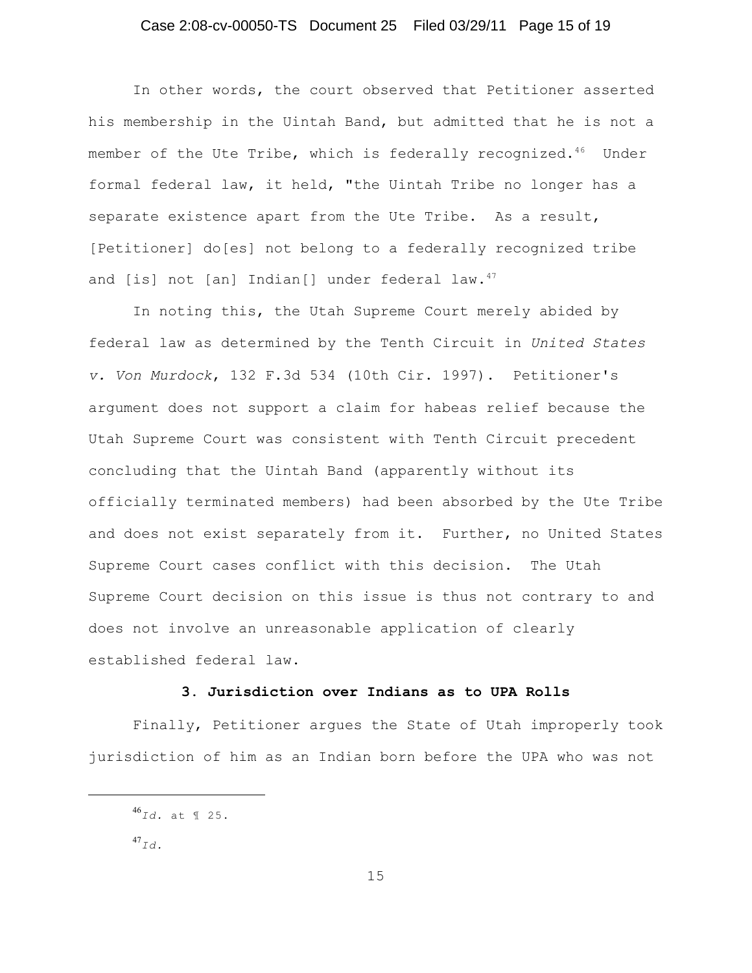# Case 2:08-cv-00050-TS Document 25 Filed 03/29/11 Page 15 of 19

In other words, the court observed that Petitioner asserted his membership in the Uintah Band, but admitted that he is not a member of the Ute Tribe, which is federally recognized.<sup>46</sup> Under formal federal law, it held, "the Uintah Tribe no longer has a separate existence apart from the Ute Tribe. As a result, [Petitioner] do[es] not belong to a federally recognized tribe and [is] not [an] Indian[] under federal law. 47

In noting this, the Utah Supreme Court merely abided by federal law as determined by the Tenth Circuit in *United States v. Von Murdock*, 132 F.3d 534 (10th Cir. 1997). Petitioner's argument does not support a claim for habeas relief because the Utah Supreme Court was consistent with Tenth Circuit precedent concluding that the Uintah Band (apparently without its officially terminated members) had been absorbed by the Ute Tribe and does not exist separately from it. Further, no United States Supreme Court cases conflict with this decision. The Utah Supreme Court decision on this issue is thus not contrary to and does not involve an unreasonable application of clearly established federal law.

### **3. Jurisdiction over Indians as to UPA Rolls**

Finally, Petitioner argues the State of Utah improperly took jurisdiction of him as an Indian born before the UPA who was not

*Id.* at ¶ 25. 46

 $^{47}$ Id.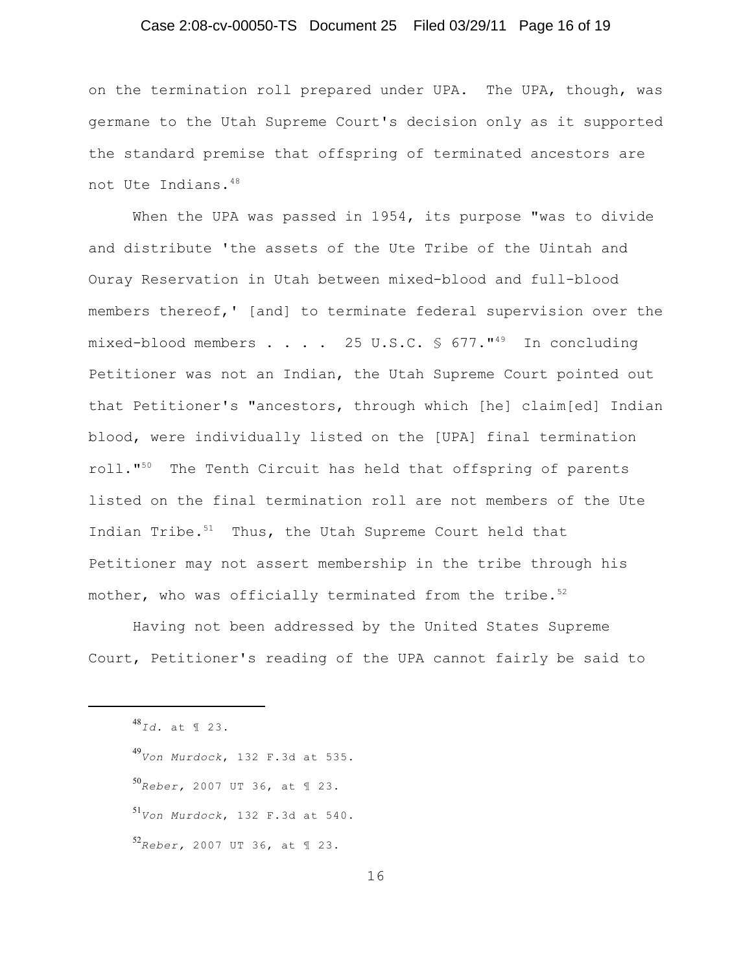# Case 2:08-cv-00050-TS Document 25 Filed 03/29/11 Page 16 of 19

on the termination roll prepared under UPA. The UPA, though, was germane to the Utah Supreme Court's decision only as it supported the standard premise that offspring of terminated ancestors are not Ute Indians.<sup>48</sup>

When the UPA was passed in 1954, its purpose "was to divide and distribute 'the assets of the Ute Tribe of the Uintah and Ouray Reservation in Utah between mixed-blood and full-blood members thereof,' [and] to terminate federal supervision over the mixed-blood members . . . . 25 U.S.C.  $\frac{1}{2}$  677."<sup>49</sup> In concluding Petitioner was not an Indian, the Utah Supreme Court pointed out that Petitioner's "ancestors, through which [he] claim[ed] Indian blood, were individually listed on the [UPA] final termination roll. $"$  The Tenth Circuit has held that offspring of parents listed on the final termination roll are not members of the Ute Indian Tribe. $51$  Thus, the Utah Supreme Court held that Petitioner may not assert membership in the tribe through his mother, who was officially terminated from the tribe.<sup>52</sup>

Having not been addressed by the United States Supreme Court, Petitioner's reading of the UPA cannot fairly be said to

*Id.* at ¶ 23. 48

*Von Murdock*, 132 F.3d at 535. 49

*s*<br>Re*ber,* 2007 UT 36, at ¶ 23.

*s*<br>*Von Murdock*, 132 F.3d at 540.

*Reber,* 2007 UT 36, at ¶ 23. 52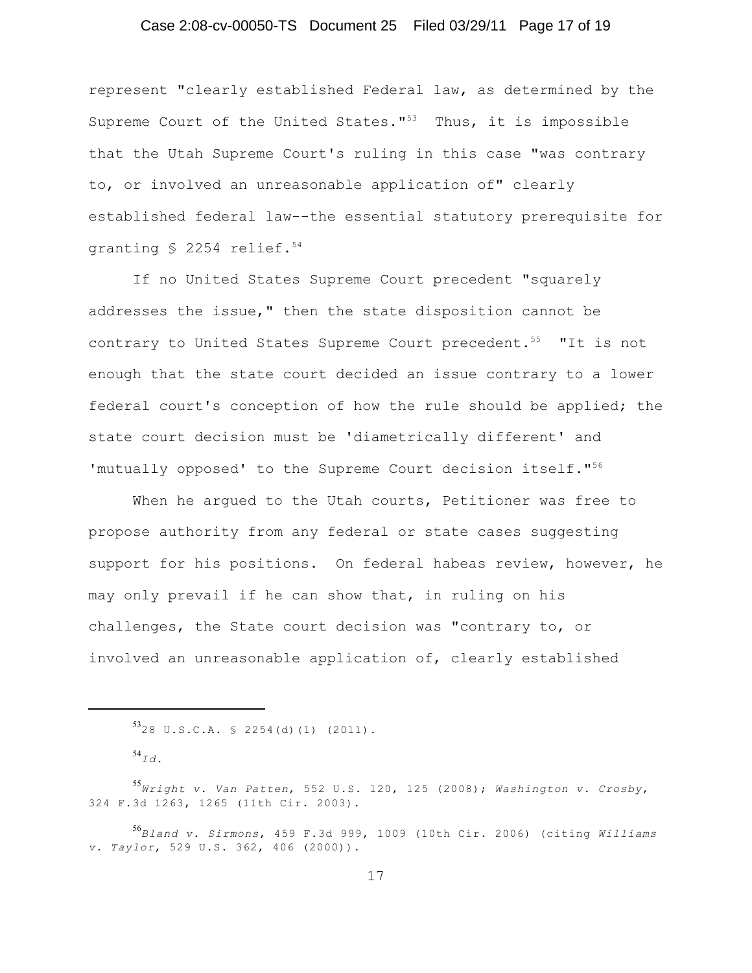# Case 2:08-cv-00050-TS Document 25 Filed 03/29/11 Page 17 of 19

represent "clearly established Federal law, as determined by the Supreme Court of the United States." $53$  Thus, it is impossible that the Utah Supreme Court's ruling in this case "was contrary to, or involved an unreasonable application of" clearly established federal law--the essential statutory prerequisite for granting § 2254 relief.<sup>54</sup>

If no United States Supreme Court precedent "squarely addresses the issue," then the state disposition cannot be contrary to United States Supreme Court precedent.<sup>55</sup> "It is not enough that the state court decided an issue contrary to a lower federal court's conception of how the rule should be applied; the state court decision must be 'diametrically different' and 'mutually opposed' to the Supreme Court decision itself."<sup>56</sup>

When he argued to the Utah courts, Petitioner was free to propose authority from any federal or state cases suggesting support for his positions. On federal habeas review, however, he may only prevail if he can show that, in ruling on his challenges, the State court decision was "contrary to, or involved an unreasonable application of, clearly established

 $5328$  U.S.C.A.  $$2254$ (d)(1) (2011).

 $^{54}$ Id.

*Wright v. Van Patten*, 552 U.S. 120, 125 (2008); *Washington v. Crosby*, 55 324 F.3d 1263, 1265 (11th Cir. 2003).

*Bland v. Sirmons*, 459 F.3d 999, 1009 (10th Cir. 2006) (citing *Williams* 56 *v. Taylor*, 529 U.S. 362, 406 (2000)).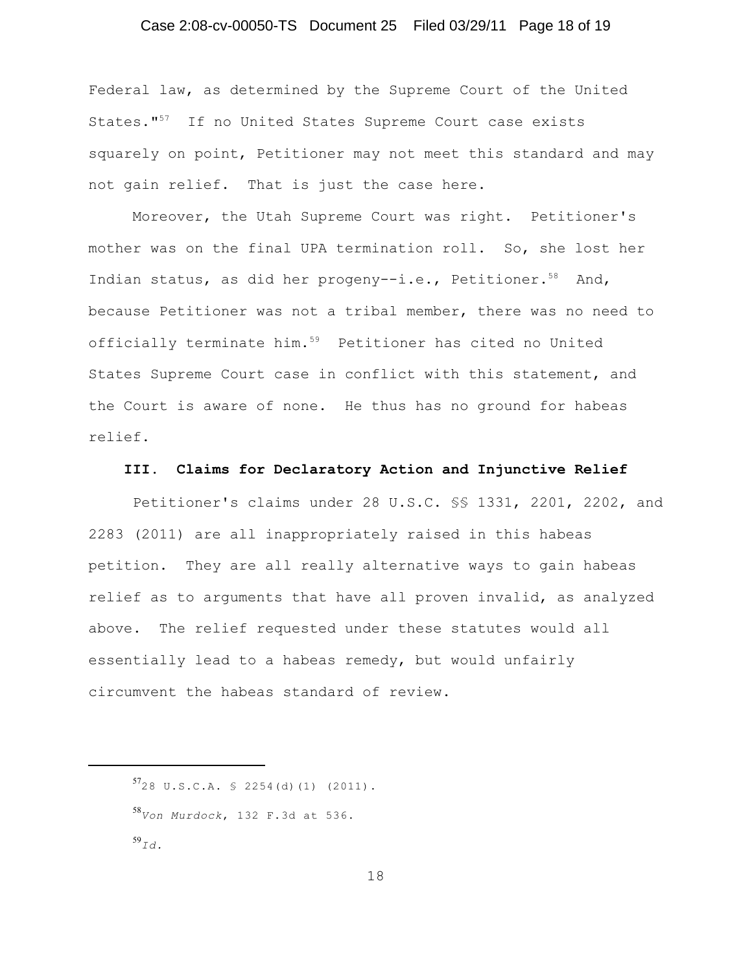# Case 2:08-cv-00050-TS Document 25 Filed 03/29/11 Page 18 of 19

Federal law, as determined by the Supreme Court of the United States."<sup>57</sup> If no United States Supreme Court case exists squarely on point, Petitioner may not meet this standard and may not gain relief. That is just the case here.

Moreover, the Utah Supreme Court was right. Petitioner's mother was on the final UPA termination roll. So, she lost her Indian status, as did her progeny--i.e., Petitioner.<sup>58</sup> And, because Petitioner was not a tribal member, there was no need to officially terminate him. $59$  Petitioner has cited no United States Supreme Court case in conflict with this statement, and the Court is aware of none. He thus has no ground for habeas relief.

#### **III. Claims for Declaratory Action and Injunctive Relief**

Petitioner's claims under 28 U.S.C. §§ 1331, 2201, 2202, and 2283 (2011) are all inappropriately raised in this habeas petition. They are all really alternative ways to gain habeas relief as to arguments that have all proven invalid, as analyzed above. The relief requested under these statutes would all essentially lead to a habeas remedy, but would unfairly circumvent the habeas standard of review.

 $57$ 28 U.S.C.A. § 2254(d)(1) (2011). *Von Murdock*, 132 F.3d at 536. 58 *Id.* 59